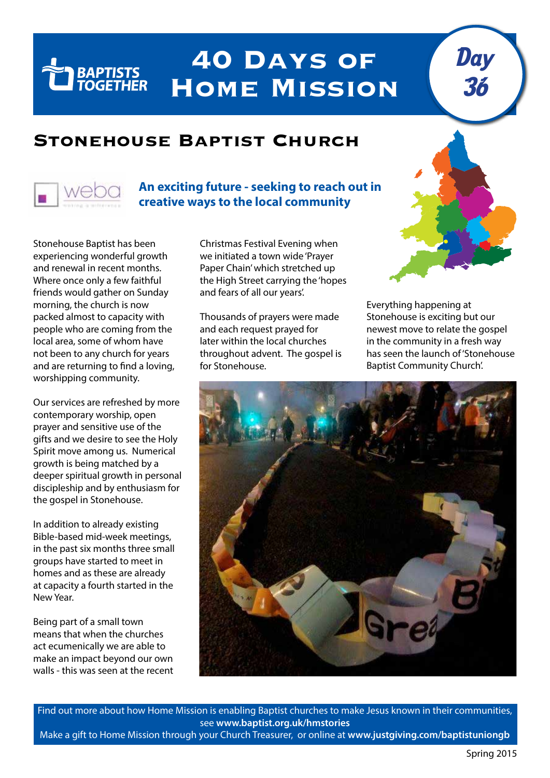## **40 Days of Home Mission**

## **Stonehouse Baptist Church**



**TELESCOPE DESCRIPTION DESCRIPTION** 

## **An exciting future - seeking to reach out in creative ways to the local community**

Stonehouse Baptist has been experiencing wonderful growth and renewal in recent months. Where once only a few faithful friends would gather on Sunday morning, the church is now packed almost to capacity with people who are coming from the local area, some of whom have not been to any church for years and are returning to find a loving, worshipping community.

Our services are refreshed by more contemporary worship, open prayer and sensitive use of the gifts and we desire to see the Holy Spirit move among us. Numerical growth is being matched by a deeper spiritual growth in personal discipleship and by enthusiasm for the gospel in Stonehouse.

In addition to already existing Bible-based mid-week meetings, in the past six months three small groups have started to meet in homes and as these are already at capacity a fourth started in the New Year.

Being part of a small town means that when the churches act ecumenically we are able to make an impact beyond our own walls - this was seen at the recent Christmas Festival Evening when we initiated a town wide 'Prayer Paper Chain' which stretched up the High Street carrying the 'hopes and fears of all our years'.

Thousands of prayers were made and each request prayed for later within the local churches throughout advent. The gospel is for Stonehouse.



Day

36

Everything happening at Stonehouse is exciting but our newest move to relate the gospel in the community in a fresh way has seen the launch of 'Stonehouse Baptist Community Church'.



Find out more about how Home Mission is enabling Baptist churches to make Jesus known in their communities, see **www.baptist.org.uk/hmstories** Make a gift to Home Mission through your Church Treasurer, or online at **www.justgiving.com/baptistuniongb**